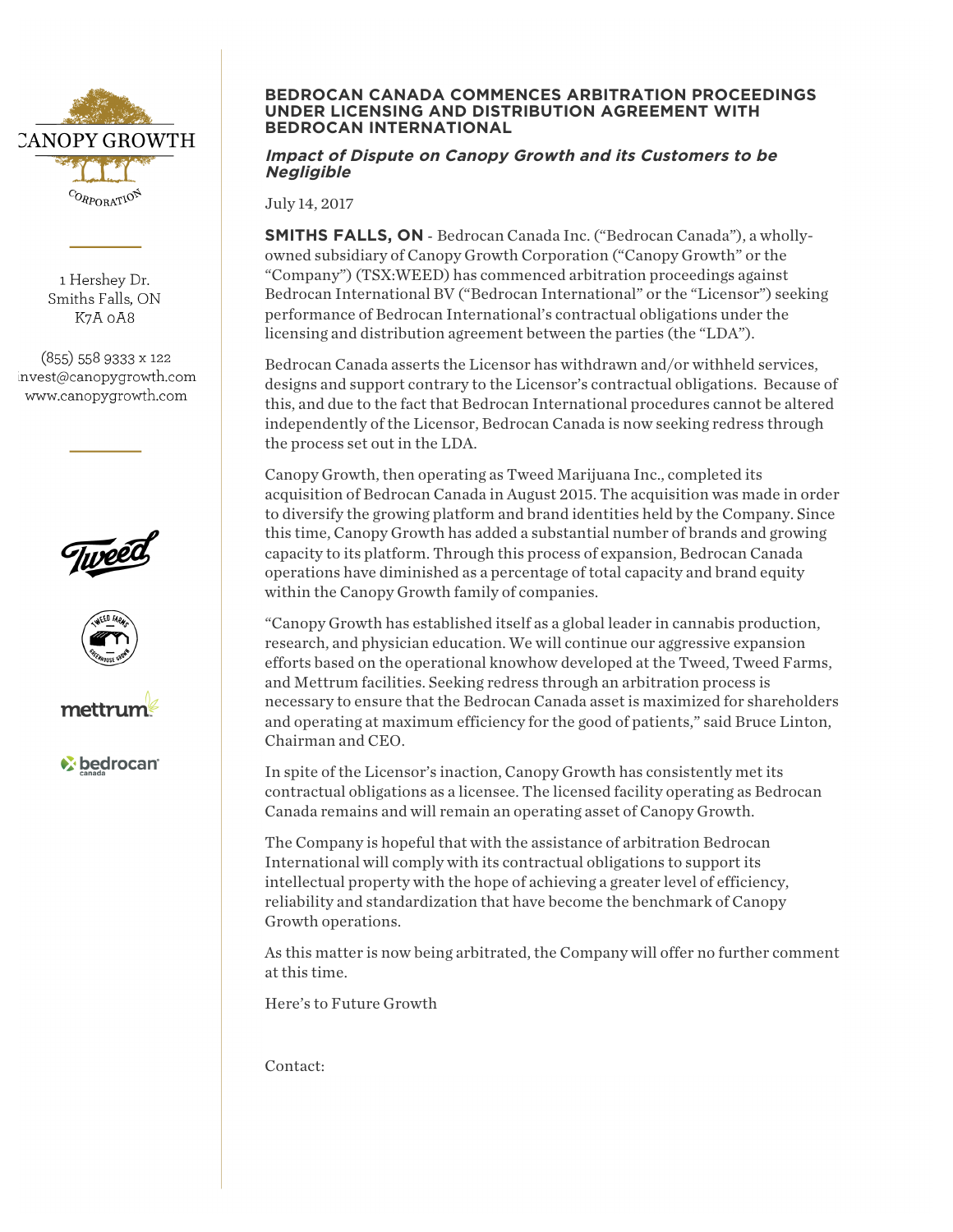

1 Hershev Dr. Smiths Falls, ON K7A 0A8

 $(855)$  558 9333 x 122 invest@canopygrowth.com www.canopygrowth.com







**M** bedrocan

## **BEDROCAN CANADA COMMENCES ARBITRATION PROCEEDINGS UNDER LICENSING AND DISTRIBUTION AGREEMENT WITH BEDROCAN INTERNATIONAL**

## **Impact of Dispute on Canopy Growth and its Customers to be Negligible**

July 14, 2017

**SMITHS FALLS, ON** - Bedrocan Canada Inc. ("Bedrocan Canada"), a whollyowned subsidiary of Canopy Growth Corporation ("Canopy Growth" or the "Company") (TSX:WEED) has commenced arbitration proceedings against Bedrocan International BV ("Bedrocan International" or the "Licensor") seeking performance of Bedrocan International's contractual obligations under the licensing and distribution agreement between the parties (the "LDA").

Bedrocan Canada asserts the Licensor has withdrawn and/or withheld services, designs and support contrary to the Licensor's contractual obligations. Because of this, and due to the fact that Bedrocan International procedures cannot be altered independently of the Licensor, Bedrocan Canada is now seeking redress through the process set out in the LDA.

Canopy Growth, then operating as Tweed Marijuana Inc., completed its acquisition of Bedrocan Canada in August 2015. The acquisition was made in order to diversify the growing platform and brand identities held by the Company. Since this time, Canopy Growth has added a substantial number of brands and growing capacity to its platform. Through this process of expansion, Bedrocan Canada operations have diminished as a percentage of total capacity and brand equity within the Canopy Growth family of companies.

"Canopy Growth has established itself as a global leader in cannabis production, research, and physician education. We will continue our aggressive expansion efforts based on the operational knowhow developed at the Tweed, Tweed Farms, and Mettrum facilities. Seeking redress through an arbitration process is necessary to ensure that the Bedrocan Canada asset is maximized for shareholders and operating at maximum efficiency for the good of patients," said Bruce Linton, Chairman and CEO.

In spite of the Licensor's inaction, Canopy Growth has consistently met its contractual obligations as a licensee. The licensed facility operating as Bedrocan Canada remains and will remain an operating asset of Canopy Growth.

The Company is hopeful that with the assistance of arbitration Bedrocan International will comply with its contractual obligations to support its intellectual property with the hope of achieving a greater level of efficiency, reliability and standardization that have become the benchmark of Canopy Growth operations.

As this matter is now being arbitrated, the Company will offer no further comment at this time.

Here's to Future Growth

Contact: